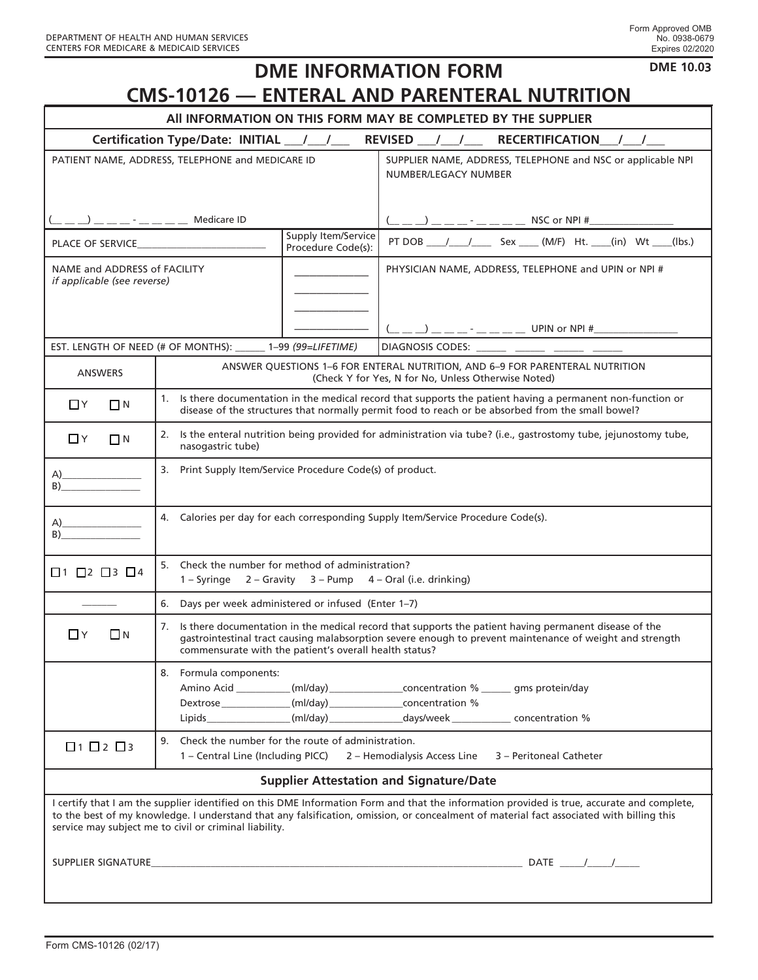| <b>DME 10.03</b><br><b>DME INFORMATION FORM</b>                                                                                                                                                                                                                                                                                                  |                                                                                                                                                                                                                                                                                 |                                                                                                                                                                                                                                                                                                                                                                                                                                                                                                                                                                                                               |  |
|--------------------------------------------------------------------------------------------------------------------------------------------------------------------------------------------------------------------------------------------------------------------------------------------------------------------------------------------------|---------------------------------------------------------------------------------------------------------------------------------------------------------------------------------------------------------------------------------------------------------------------------------|---------------------------------------------------------------------------------------------------------------------------------------------------------------------------------------------------------------------------------------------------------------------------------------------------------------------------------------------------------------------------------------------------------------------------------------------------------------------------------------------------------------------------------------------------------------------------------------------------------------|--|
| <b>CMS-10126 - ENTERAL AND PARENTERAL NUTRITION</b>                                                                                                                                                                                                                                                                                              |                                                                                                                                                                                                                                                                                 |                                                                                                                                                                                                                                                                                                                                                                                                                                                                                                                                                                                                               |  |
| All INFORMATION ON THIS FORM MAY BE COMPLETED BY THE SUPPLIER                                                                                                                                                                                                                                                                                    |                                                                                                                                                                                                                                                                                 |                                                                                                                                                                                                                                                                                                                                                                                                                                                                                                                                                                                                               |  |
| Certification Type/Date: INITIAL __/ __/ __ REVISED __/ __/ __ RECERTIFICATION __/ __/                                                                                                                                                                                                                                                           |                                                                                                                                                                                                                                                                                 |                                                                                                                                                                                                                                                                                                                                                                                                                                                                                                                                                                                                               |  |
| PATIENT NAME, ADDRESS, TELEPHONE and MEDICARE ID                                                                                                                                                                                                                                                                                                 |                                                                                                                                                                                                                                                                                 | SUPPLIER NAME, ADDRESS, TELEPHONE and NSC or applicable NPI<br>NUMBER/LEGACY NUMBER                                                                                                                                                                                                                                                                                                                                                                                                                                                                                                                           |  |
| $\frac{1}{2}$ $\frac{1}{2}$ $\frac{1}{2}$ $\frac{1}{2}$ $\frac{1}{2}$ $\frac{1}{2}$ $\frac{1}{2}$ $\frac{1}{2}$ $\frac{1}{2}$ $\frac{1}{2}$ $\frac{1}{2}$ $\frac{1}{2}$ $\frac{1}{2}$ $\frac{1}{2}$ $\frac{1}{2}$ $\frac{1}{2}$ $\frac{1}{2}$ $\frac{1}{2}$ $\frac{1}{2}$ $\frac{1}{2}$ $\frac{1}{2}$ $\frac{1}{2}$                              |                                                                                                                                                                                                                                                                                 |                                                                                                                                                                                                                                                                                                                                                                                                                                                                                                                                                                                                               |  |
| Supply Item/Service<br>Procedure Code(s):                                                                                                                                                                                                                                                                                                        |                                                                                                                                                                                                                                                                                 | PT DOB ____/ ____/ _____ Sex _____ (M/F) Ht. ____(in) Wt ____(lbs.)                                                                                                                                                                                                                                                                                                                                                                                                                                                                                                                                           |  |
| NAME and ADDRESS of FACILITY<br><i>if applicable (see reverse)</i>                                                                                                                                                                                                                                                                               |                                                                                                                                                                                                                                                                                 | PHYSICIAN NAME, ADDRESS, TELEPHONE and UPIN or NPI #                                                                                                                                                                                                                                                                                                                                                                                                                                                                                                                                                          |  |
|                                                                                                                                                                                                                                                                                                                                                  |                                                                                                                                                                                                                                                                                 | $\underbrace{($ $\underline{\hspace{1cm}}\underline{\hspace{1cm}}\underline{\hspace{1cm}}\underline{\hspace{1cm}}\underline{\hspace{1cm}}\underline{\hspace{1cm}}\underline{\hspace{1cm}}\underline{\hspace{1cm}}\underline{\hspace{1cm}}\underline{\hspace{1cm}}\underline{\hspace{1cm}}\underline{\hspace{1cm}}\underline{\hspace{1cm}}\underline{\hspace{1cm}}\underline{\hspace{1cm}}\underline{\hspace{1cm}}\underline{\hspace{1cm}}\underline{\hspace{1cm}}\underline{\hspace{1cm}}\underline{\hspace{1cm}}\underline{\hspace{1cm}}\underline{\hspace{1cm}}\underline{\hspace{1cm}}\underline{\hspace{$ |  |
|                                                                                                                                                                                                                                                                                                                                                  | EST. LENGTH OF NEED (# OF MONTHS): ______ 1-99 (99=LIFETIME)                                                                                                                                                                                                                    | DIAGNOSIS CODES: _______ ______ _______ ______                                                                                                                                                                                                                                                                                                                                                                                                                                                                                                                                                                |  |
| <b>ANSWERS</b>                                                                                                                                                                                                                                                                                                                                   |                                                                                                                                                                                                                                                                                 | ANSWER QUESTIONS 1-6 FOR ENTERAL NUTRITION, AND 6-9 FOR PARENTERAL NUTRITION<br>(Check Y for Yes, N for No, Unless Otherwise Noted)                                                                                                                                                                                                                                                                                                                                                                                                                                                                           |  |
| $\Box$ Y<br>$\Box$ N                                                                                                                                                                                                                                                                                                                             | 1. Is there documentation in the medical record that supports the patient having a permanent non-function or<br>disease of the structures that normally permit food to reach or be absorbed from the small bowel?                                                               |                                                                                                                                                                                                                                                                                                                                                                                                                                                                                                                                                                                                               |  |
| $\Box$ Y<br>$\Box$ N                                                                                                                                                                                                                                                                                                                             | 2. Is the enteral nutrition being provided for administration via tube? (i.e., gastrostomy tube, jejunostomy tube,<br>nasogastric tube)                                                                                                                                         |                                                                                                                                                                                                                                                                                                                                                                                                                                                                                                                                                                                                               |  |
| (A)<br>B) and the same state of the state of the state of the state of the state of the state of the state of the state of the state of the state of the state of the state of the state of the state of the state of the state of th                                                                                                            | 3. Print Supply Item/Service Procedure Code(s) of product.                                                                                                                                                                                                                      |                                                                                                                                                                                                                                                                                                                                                                                                                                                                                                                                                                                                               |  |
| (A)<br>B) and the same state of the state of the state of the state of the state of the state of the state of the state of the state of the state of the state of the state of the state of the state of the state of the state of th                                                                                                            | 4. Calories per day for each corresponding Supply Item/Service Procedure Code(s).                                                                                                                                                                                               |                                                                                                                                                                                                                                                                                                                                                                                                                                                                                                                                                                                                               |  |
| $\Box$ 1 $\Box$ 2 $\Box$ 3 $\Box$ 4                                                                                                                                                                                                                                                                                                              | 5. Check the number for method of administration?<br>2 - Gravity 3 - Pump 4 - Oral (i.e. drinking)<br>$1 -$ Syringe                                                                                                                                                             |                                                                                                                                                                                                                                                                                                                                                                                                                                                                                                                                                                                                               |  |
|                                                                                                                                                                                                                                                                                                                                                  | 6. Days per week administered or infused (Enter 1-7)                                                                                                                                                                                                                            |                                                                                                                                                                                                                                                                                                                                                                                                                                                                                                                                                                                                               |  |
| ΠY<br>$\Box$ N                                                                                                                                                                                                                                                                                                                                   | 7. Is there documentation in the medical record that supports the patient having permanent disease of the<br>gastrointestinal tract causing malabsorption severe enough to prevent maintenance of weight and strength<br>commensurate with the patient's overall health status? |                                                                                                                                                                                                                                                                                                                                                                                                                                                                                                                                                                                                               |  |
|                                                                                                                                                                                                                                                                                                                                                  | 8. Formula components:<br>Dextrose ______________(ml/day) __________________concentration %                                                                                                                                                                                     | Amino Acid __________(ml/day) __________________concentration % _______ gms protein/day<br>Lipids ________________(ml/day) _______________days/week ____________ concentration %                                                                                                                                                                                                                                                                                                                                                                                                                              |  |
| $\Box$ 1 $\Box$ 2 $\Box$ 3                                                                                                                                                                                                                                                                                                                       | 9. Check the number for the route of administration.<br>1 - Central Line (Including PICC) 2 - Hemodialysis Access Line 3 - Peritoneal Catheter                                                                                                                                  |                                                                                                                                                                                                                                                                                                                                                                                                                                                                                                                                                                                                               |  |
| <b>Supplier Attestation and Signature/Date</b>                                                                                                                                                                                                                                                                                                   |                                                                                                                                                                                                                                                                                 |                                                                                                                                                                                                                                                                                                                                                                                                                                                                                                                                                                                                               |  |
| I certify that I am the supplier identified on this DME Information Form and that the information provided is true, accurate and complete,<br>to the best of my knowledge. I understand that any falsification, omission, or concealment of material fact associated with billing this<br>service may subject me to civil or criminal liability. |                                                                                                                                                                                                                                                                                 |                                                                                                                                                                                                                                                                                                                                                                                                                                                                                                                                                                                                               |  |
|                                                                                                                                                                                                                                                                                                                                                  |                                                                                                                                                                                                                                                                                 |                                                                                                                                                                                                                                                                                                                                                                                                                                                                                                                                                                                                               |  |